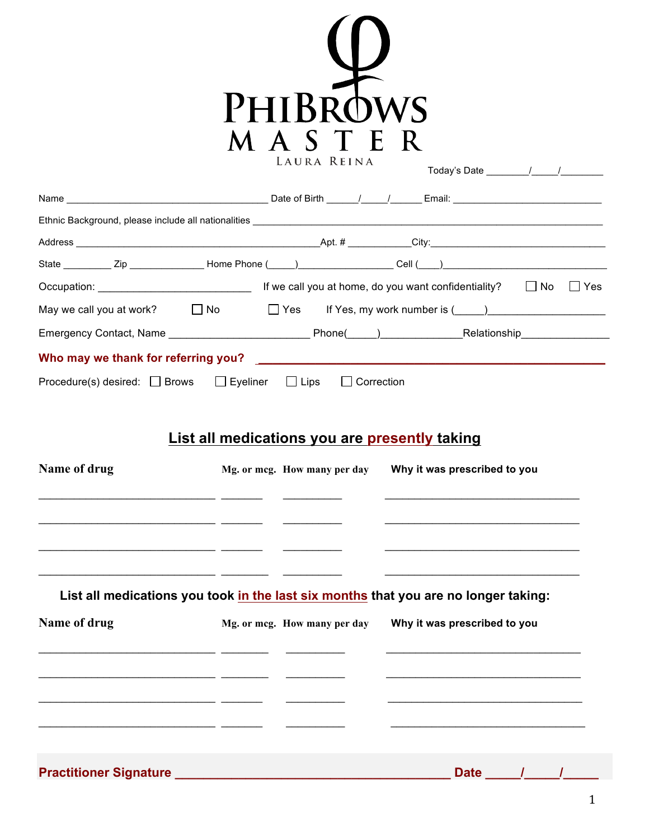

|                                                                                                                                                                                                                                                      |                                                                    | Today's Date $\frac{1}{\sqrt{1-\frac{1}{2}}}\frac{1}{\sqrt{1-\frac{1}{2}}}\frac{1}{\sqrt{1-\frac{1}{2}}}\frac{1}{\sqrt{1-\frac{1}{2}}}\frac{1}{\sqrt{1-\frac{1}{2}}}\frac{1}{\sqrt{1-\frac{1}{2}}}\frac{1}{\sqrt{1-\frac{1}{2}}}\frac{1}{\sqrt{1-\frac{1}{2}}}\frac{1}{\sqrt{1-\frac{1}{2}}}\frac{1}{\sqrt{1-\frac{1}{2}}}\frac{1}{\sqrt{1-\frac{1}{2}}}\frac{1}{\sqrt{1-\frac{1}{2}}}\frac{1}{\sqrt{1-\frac{1}{2$ |
|------------------------------------------------------------------------------------------------------------------------------------------------------------------------------------------------------------------------------------------------------|--------------------------------------------------------------------|--------------------------------------------------------------------------------------------------------------------------------------------------------------------------------------------------------------------------------------------------------------------------------------------------------------------------------------------------------------------------------------------------------------------|
|                                                                                                                                                                                                                                                      |                                                                    |                                                                                                                                                                                                                                                                                                                                                                                                                    |
|                                                                                                                                                                                                                                                      |                                                                    |                                                                                                                                                                                                                                                                                                                                                                                                                    |
|                                                                                                                                                                                                                                                      |                                                                    |                                                                                                                                                                                                                                                                                                                                                                                                                    |
|                                                                                                                                                                                                                                                      |                                                                    |                                                                                                                                                                                                                                                                                                                                                                                                                    |
|                                                                                                                                                                                                                                                      |                                                                    | Occupation: $\Box$ No $\Box$ Yes                                                                                                                                                                                                                                                                                                                                                                                   |
|                                                                                                                                                                                                                                                      |                                                                    | May we call you at work? $\Box$ No $\Box$ Yes If Yes, my work number is $(\Box)$                                                                                                                                                                                                                                                                                                                                   |
|                                                                                                                                                                                                                                                      |                                                                    |                                                                                                                                                                                                                                                                                                                                                                                                                    |
| Who may we thank for referring you? The control of the control of the control of the control of the control of the control of the control of the control of the control of the control of the control of the control of the co                       |                                                                    |                                                                                                                                                                                                                                                                                                                                                                                                                    |
| Procedure(s) desired: $\Box$ Brows $\Box$ Eyeliner $\Box$ Lips                                                                                                                                                                                       | $\Box$ Correction<br>List all medications you are presently taking |                                                                                                                                                                                                                                                                                                                                                                                                                    |
| Name of drug<br><u> 1989 - Jan Barnett, fransk politik (d. 1989)</u>                                                                                                                                                                                 |                                                                    | Mg. or mcg. How many per day Why it was prescribed to you<br>the control of the control of the control of the control of the control of the control of the control of the control of<br><u> 1989 - Johann Stoff, amerikansk politiker (d. 1989)</u>                                                                                                                                                                |
| <u> 1989 - Jan Stein Stein Stein Stein Stein Stein Stein Stein Stein Stein Stein Stein Stein Stein Stein Stein Stein Stein Stein Stein Stein Stein Stein Stein Stein Stein Stein Stein Stein Stein Stein Stein Stein Stein Stein</u><br>Name of drug |                                                                    | <u>experimental products and the contract of the contract of the contract of the contract of the contract of the con</u><br>List all medications you took in the last six months that you are no longer taking:<br>Mg. or mcg. How many per day Why it was prescribed to you                                                                                                                                       |
|                                                                                                                                                                                                                                                      |                                                                    |                                                                                                                                                                                                                                                                                                                                                                                                                    |

**Practitioner Signature \_\_\_\_\_\_\_\_\_\_\_\_\_\_\_\_\_\_\_\_\_\_\_\_\_\_\_\_\_\_\_\_\_\_\_\_\_\_\_ Date \_\_\_\_\_/\_\_\_\_\_/\_\_\_\_\_**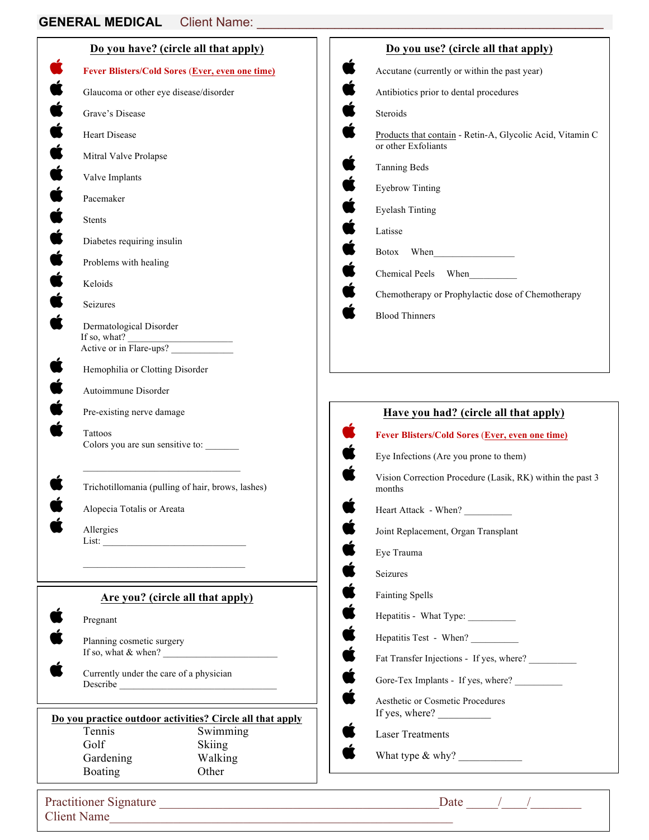|                                                                            | Do you have? (circle all that apply)                                                | Do you use? (circle all that apply)                                              |
|----------------------------------------------------------------------------|-------------------------------------------------------------------------------------|----------------------------------------------------------------------------------|
|                                                                            | Fever Blisters/Cold Sores (Ever, even one time)                                     | Accutane (currently or within the past year)                                     |
| Glaucoma or other eye disease/disorder                                     |                                                                                     | Antibiotics prior to dental procedures                                           |
| Grave's Disease                                                            |                                                                                     | Steroids                                                                         |
| Heart Disease                                                              |                                                                                     | Products that contain - Retin-A, Glycolic Acid, Vitamin C<br>or other Exfoliants |
| Mitral Valve Prolapse                                                      |                                                                                     | <b>Tanning Beds</b>                                                              |
| Valve Implants                                                             |                                                                                     | <b>Eyebrow Tinting</b>                                                           |
| Pacemaker                                                                  |                                                                                     | <b>Eyelash Tinting</b>                                                           |
| Stents                                                                     |                                                                                     | Latisse                                                                          |
| Diabetes requiring insulin                                                 |                                                                                     | Botox When                                                                       |
| Problems with healing                                                      |                                                                                     |                                                                                  |
| Keloids                                                                    |                                                                                     | Chemical Peels When                                                              |
| Seizures                                                                   |                                                                                     | Chemotherapy or Prophylactic dose of Chemotherapy                                |
| Dermatological Disorder                                                    |                                                                                     | <b>Blood Thinners</b>                                                            |
| If so, what?<br>$\frac{11 \text{ so, wnat}}{7}$<br>Active or in Flare-ups? |                                                                                     |                                                                                  |
| Hemophilia or Clotting Disorder                                            |                                                                                     |                                                                                  |
| Autoimmune Disorder                                                        |                                                                                     |                                                                                  |
| Pre-existing nerve damage                                                  |                                                                                     | Have you had? (circle all that apply)                                            |
| Tattoos                                                                    |                                                                                     | Fever Blisters/Cold Sores (Ever, even one time)                                  |
| Colors you are sun sensitive to:                                           |                                                                                     | Eye Infections (Are you prone to them)                                           |
|                                                                            | Trichotillomania (pulling of hair, brows, lashes)                                   | Vision Correction Procedure (Lasik, RK) within the past 3<br>months              |
| Alopecia Totalis or Areata                                                 |                                                                                     | Heart Attack - When?                                                             |
| Allergies                                                                  |                                                                                     | Joint Replacement, Organ Transplant                                              |
|                                                                            |                                                                                     | Eye Trauma                                                                       |
|                                                                            |                                                                                     | Seizures                                                                         |
|                                                                            | Are you? (circle all that apply)                                                    | <b>Fainting Spells</b>                                                           |
| Pregnant                                                                   |                                                                                     | Hepatitis - What Type: ___________                                               |
| Planning cosmetic surgery                                                  |                                                                                     | Hepatitis Test - When?                                                           |
|                                                                            | If so, what $\&$ when? $\_\_\_\_\_\_\_\_\_\_\_\_\_\_\_\_\_\_\_\_\_\_\_\_\_\_\_\_\_$ | Fat Transfer Injections - If yes, where?                                         |
| Currently under the care of a physician                                    |                                                                                     | Gore-Tex Implants - If yes, where?                                               |
|                                                                            |                                                                                     | Aesthetic or Cosmetic Procedures                                                 |
| Tennis                                                                     | Do you practice outdoor activities? Circle all that apply<br>Swimming               | <b>Laser Treatments</b>                                                          |
| Golf                                                                       | <b>Skiing</b>                                                                       |                                                                                  |

Client Name\_\_\_\_\_\_\_\_\_\_\_\_\_\_\_\_\_\_\_\_\_\_\_\_\_\_\_\_\_\_\_\_\_\_\_\_\_\_\_\_\_\_\_\_\_\_\_\_\_\_\_\_\_\_